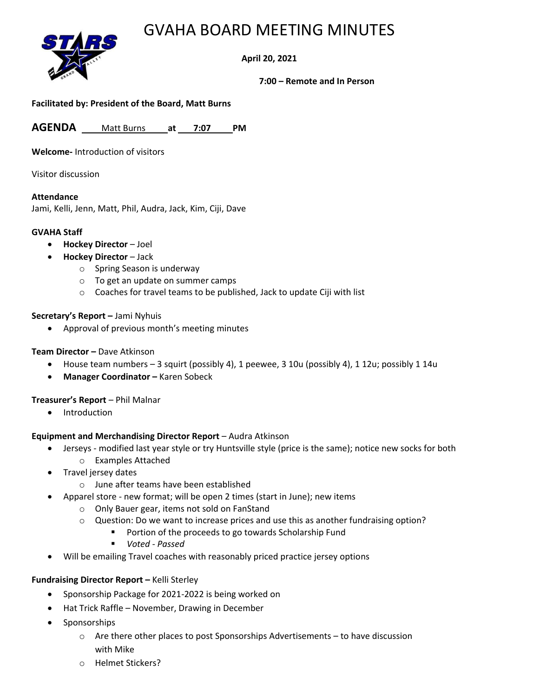## GVAHA BOARD MEETING MINUTES



**April 20, 2021**

**7:00 – Remote and In Person**

### **Facilitated by: President of the Board, Matt Burns**

**AGENDA** Matt Burns **at 7:07 PM**

**Welcome-** Introduction of visitors

Visitor discussion

#### **Attendance**

Jami, Kelli, Jenn, Matt, Phil, Audra, Jack, Kim, Ciji, Dave

#### **GVAHA Staff**

- **Hockey Director** Joel
	- **Hockey Director** Jack
		- o Spring Season is underway
		- o To get an update on summer camps
		- $\circ$  Coaches for travel teams to be published, Jack to update Ciji with list

#### **Secretary's Report –** Jami Nyhuis

• Approval of previous month's meeting minutes

#### **Team Director –** Dave Atkinson

- House team numbers 3 squirt (possibly 4), 1 peewee, 3 10u (possibly 4), 1 12u; possibly 1 14u
- **Manager Coordinator –** Karen Sobeck

#### **Treasurer's Report** – Phil Malnar

• Introduction

#### **Equipment and Merchandising Director Report** – Audra Atkinson

- Jerseys modified last year style or try Huntsville style (price is the same); notice new socks for both o Examples Attached
- Travel jersey dates
	- o June after teams have been established
- Apparel store new format; will be open 2 times (start in June); new items
	- o Only Bauer gear, items not sold on FanStand
	- o Question: Do we want to increase prices and use this as another fundraising option?
		- Portion of the proceeds to go towards Scholarship Fund
		- *Voted - Passed*
- Will be emailing Travel coaches with reasonably priced practice jersey options

#### **Fundraising Director Report –** Kelli Sterley

- Sponsorship Package for 2021-2022 is being worked on
- Hat Trick Raffle November, Drawing in December
- Sponsorships
	- $\circ$  Are there other places to post Sponsorships Advertisements to have discussion with Mike
	- o Helmet Stickers?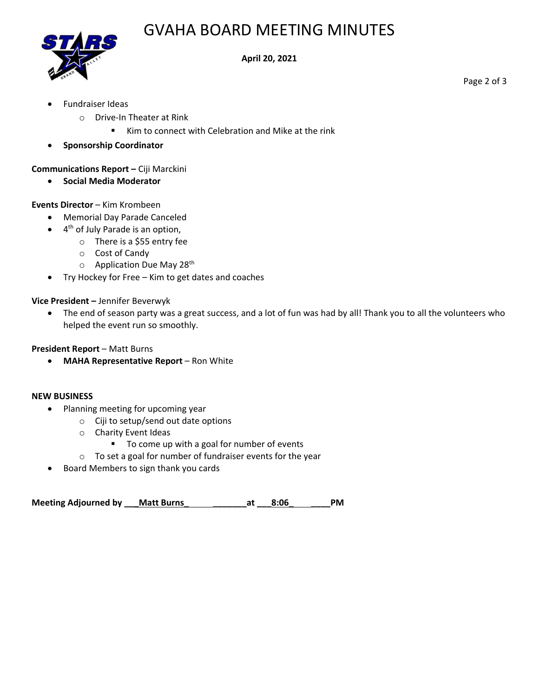# GVAHA BOARD MEETING MINUTES



#### **April 20, 2021**

• Fundraiser Ideas

o Drive-In Theater at Rink

■ Kim to connect with Celebration and Mike at the rink

• **Sponsorship Coordinator**

**Communications Report –** Ciji Marckini

• **Social Media Moderator**

### **Events Director** – Kim Krombeen

- Memorial Day Parade Canceled
- 4<sup>th</sup> of July Parade is an option,
	- o There is a \$55 entry fee
	- o Cost of Candy
	- $\circ$  Application Due May 28<sup>th</sup>
- Try Hockey for Free Kim to get dates and coaches

**Vice President –** Jennifer Beverwyk

• The end of season party was a great success, and a lot of fun was had by all! Thank you to all the volunteers who helped the event run so smoothly.

**President Report** – Matt Burns

• **MAHA Representative Report** – Ron White

#### **NEW BUSINESS**

- Planning meeting for upcoming year
	- o Ciji to setup/send out date options
	- o Charity Event Ideas
		- To come up with a goal for number of events
	- o To set a goal for number of fundraiser events for the year
- Board Members to sign thank you cards

**Meeting Adjourned by \_\_\_Matt Burns\_ \_\_\_\_\_\_\_at \_\_\_8:06\_ \_\_\_\_PM**